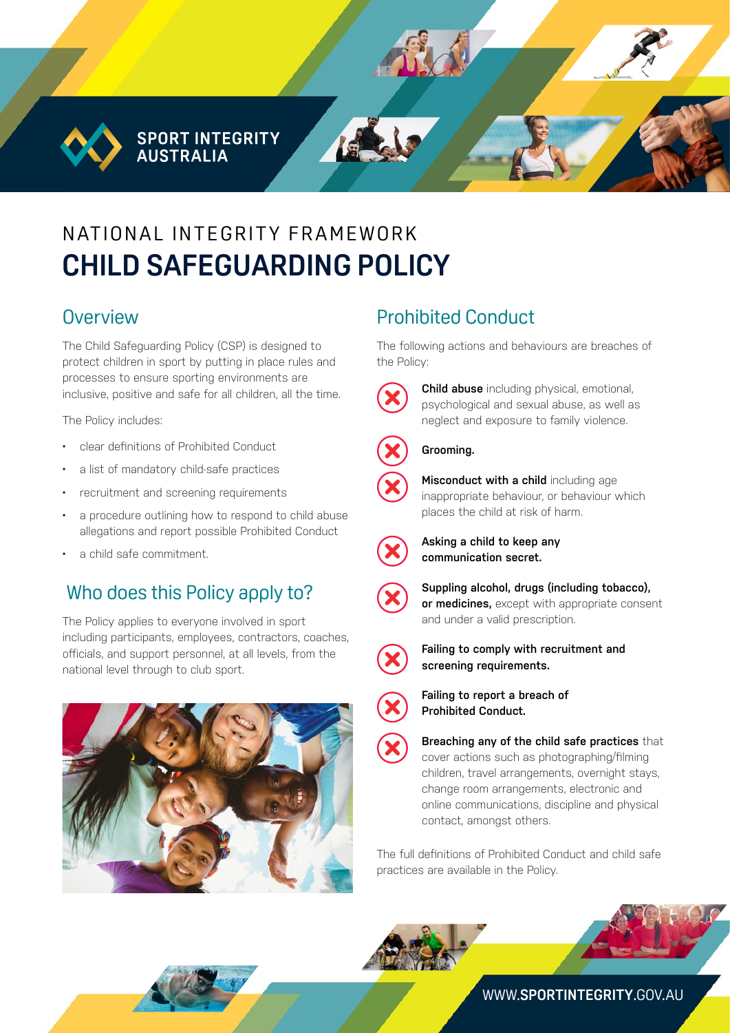**SPORT INTEGRITY AUSTRALIA** 

# N AT IONAL INTEGRITY FRAMEWORK **CHILD SAFEGUARDING POLICY**

## **Overview**

The Child Safeguarding Policy (CSP) is designed to protect children in sport by putting in place rules and processes to ensure sporting environments are inclusive, positive and safe for all children, all the time.

The Policy includes:

- clear definitions of Prohibited Conduct
- a list of mandatory child-safe practices
- recruitment and screening requirements
- a procedure outlining how to respond to child abuse allegations and report possible Prohibited Conduct
- a child safe commitment.

# Who does this Policy apply to?

The Policy applies to everyone involved in sport including participants, employees, contractors, coaches, officials, and support personnel, at all levels, from the national level through to club sport.



# Prohibited Conduct

The following actions and behaviours are breaches of the Policy:



**Child abuse** including physical, emotional, psychological and sexual abuse, as well as neglect and exposure to family violence.





**Misconduct with a child** including age inappropriate behaviour, or behaviour which places the child at risk of harm.



**Asking a child to keep any communication secret.** 



**Suppling alcohol, drugs (including tobacco), or medicines,** except with appropriate consent and under a valid prescription.



**Failing to comply with recruitment and screening requirements.** 



**Failing to report a breach of Prohibited Conduct.** 

**Breaching any of the child safe practices** that cover actions such as photographing/filming children, travel arrangements, overnight stays, change room arrangements, electronic and online communications, discipline and physical contact, amongst others.

The full definitions of Prohibited Conduct and child safe practices are available in the Policy.





#### WWW.**[SPORTINTEGRITY](http://www.sportintegrity.gov.au)**.GOV.AU